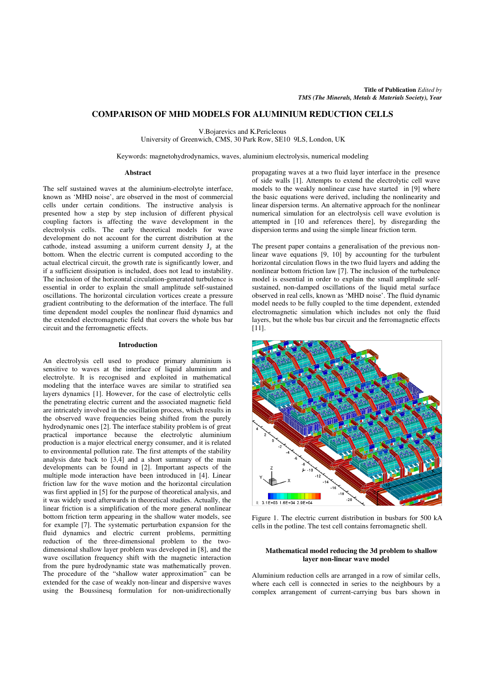# **COMPARISON OF MHD MODELS FOR ALUMINIUM REDUCTION CELLS**

V.Bojarevics and K.Pericleous

University of Greenwich, CMS, 30 Park Row, SE10 9LS, London, UK

Keywords: magnetohydrodynamics, waves, aluminium electrolysis, numerical modeling

## **Abstract**

The self sustained waves at the aluminium-electrolyte interface, known as 'MHD noise', are observed in the most of commercial cells under certain conditions. The instructive analysis is presented how a step by step inclusion of different physical coupling factors is affecting the wave development in the electrolysis cells. The early theoretical models for wave development do not account for the current distribution at the cathode, instead assuming a uniform current density  $J_z$  at the bottom. When the electric current is computed according to the actual electrical circuit, the growth rate is significantly lower, and if a sufficient dissipation is included, does not lead to instability. The inclusion of the horizontal circulation-generated turbulence is essential in order to explain the small amplitude self-sustained oscillations. The horizontal circulation vortices create a pressure gradient contributing to the deformation of the interface. The full time dependent model couples the nonlinear fluid dynamics and the extended electromagnetic field that covers the whole bus bar circuit and the ferromagnetic effects.

### **Introduction**

An electrolysis cell used to produce primary aluminium is sensitive to waves at the interface of liquid aluminium and electrolyte. It is recognised and exploited in mathematical modeling that the interface waves are similar to stratified sea layers dynamics [1]. However, for the case of electrolytic cells the penetrating electric current and the associated magnetic field are intricately involved in the oscillation process, which results in the observed wave frequencies being shifted from the purely hydrodynamic ones [2]. The interface stability problem is of great practical importance because the electrolytic aluminium production is a major electrical energy consumer, and it is related to environmental pollution rate. The first attempts of the stability analysis date back to [3,4] and a short summary of the main developments can be found in [2]. Important aspects of the multiple mode interaction have been introduced in [4]. Linear friction law for the wave motion and the horizontal circulation was first applied in [5] for the purpose of theoretical analysis, and it was widely used afterwards in theoretical studies. Actually, the linear friction is a simplification of the more general nonlinear bottom friction term appearing in the shallow water models, see for example [7]. The systematic perturbation expansion for the fluid dynamics and electric current problems, permitting reduction of the three-dimensional problem to the twodimensional shallow layer problem was developed in [8], and the wave oscillation frequency shift with the magnetic interaction from the pure hydrodynamic state was mathematically proven. The procedure of the "shallow water approximation" can be extended for the case of weakly non-linear and dispersive waves using the Boussinesq formulation for non-unidirectionally

propagating waves at a two fluid layer interface in the presence of side walls [1]. Attempts to extend the electrolytic cell wave models to the weakly nonlinear case have started in [9] where the basic equations were derived, including the nonlinearity and linear dispersion terms. An alternative approach for the nonlinear numerical simulation for an electrolysis cell wave evolution is attempted in [10 and references there], by disregarding the dispersion terms and using the simple linear friction term.

The present paper contains a generalisation of the previous nonlinear wave equations [9, 10] by accounting for the turbulent horizontal circulation flows in the two fluid layers and adding the nonlinear bottom friction law [7]. The inclusion of the turbulence model is essential in order to explain the small amplitude selfsustained, non-damped oscillations of the liquid metal surface observed in real cells, known as 'MHD noise'. The fluid dynamic model needs to be fully coupled to the time dependent, extended electromagnetic simulation which includes not only the fluid layers, but the whole bus bar circuit and the ferromagnetic effects [11].



Figure 1. The electric current distribution in busbars for 500 kA cells in the potline. The test cell contains ferromagnetic shell.

## **Mathematical model reducing the 3d problem to shallow layer non-linear wave model**

Aluminium reduction cells are arranged in a row of similar cells, where each cell is connected in series to the neighbours by a complex arrangement of current-carrying bus bars shown in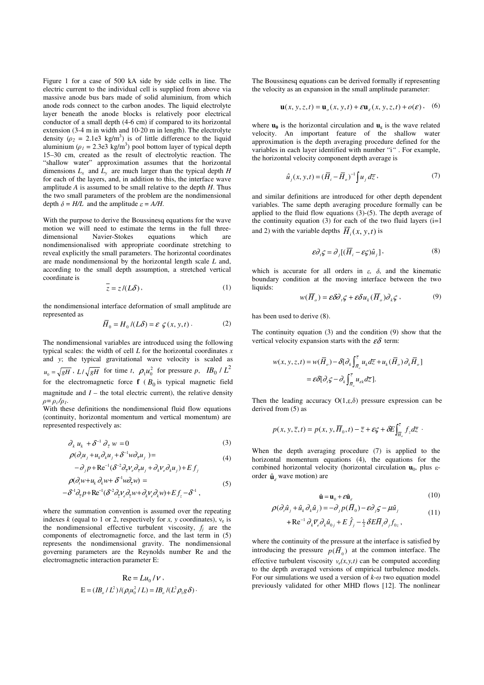Figure 1 for a case of 500 kA side by side cells in line. The electric current to the individual cell is supplied from above via massive anode bus bars made of solid aluminium, from which anode rods connect to the carbon anodes. The liquid electrolyte layer beneath the anode blocks is relatively poor electrical conductor of a small depth (4-6 cm) if compared to its horizontal extension (3-4 m in width and 10-20 m in length). The electrolyte density  $(\rho_2 = 2.1e3 \text{ kg/m}^3)$  is of little difference to the liquid aluminium ( $\rho_1 = 2.3e3 \text{ kg/m}^3$ ) pool bottom layer of typical depth 15–30 cm, created as the result of electrolytic reaction. The "shallow water" approximation assumes that the horizontal dimensions  $L_x$  and  $L_y$  are much larger than the typical depth *H* for each of the layers, and, in addition to this, the interface wave amplitude *A* is assumed to be small relative to the depth *H*. Thus the two small parameters of the problem are the nondimensional depth  $\delta = H/L$  and the amplitude  $\varepsilon = A/H$ .

With the purpose to derive the Boussinesq equations for the wave motion we will need to estimate the terms in the full threedimensional Navier-Stokes equations which are nondimensionalised with appropriate coordinate stretching to reveal explicitly the small parameters. The horizontal coordinates are made nondimensional by the horizontal length scale *L* and, according to the small depth assumption, a stretched vertical coordinate is

$$
z = z/(L\delta),\tag{1}
$$

the nondimensional interface deformation of small amplitude are represented as

$$
\overline{H}_0 = H_0 / (L\delta) = \varepsilon \varsigma(x, y, t).
$$
 (2)

The nondimensional variables are introduced using the following typical scales: the width of cell *L* for the horizontal coordinates *x* and *y*; the typical gravitational wave velocity is scaled as  $u_0 = \sqrt{gH}$ ,  $L/\sqrt{gH}$  for time *t*,  $\rho_1 u_0^2$  for pressure *p*, *IB*<sub>0</sub> /  $L^2$ for the electromagnetic force  $f$  ( $B_0$  is typical magnetic field magnitude and  $I$  – the total electric current), the relative density  $\rho = \rho_i / \rho_i$ .

With these definitions the nondimensional fluid flow equations (continuity, horizontal momentum and vertical momentum) are represented respectively as:

$$
\partial_k u_k + \delta^{-1} \partial_{\bar{z}} w = 0 \tag{3}
$$

$$
\rho(\partial_i u_j + u_k \partial_k u_j + \delta^{-1} w \partial_{\overline{z}} u_j) =
$$
  

$$
-\partial_j p + \text{Re}^{-1} (\delta^{-2} \partial_{\overline{z}} v_e \partial_{\overline{z}} u_j + \partial_k v_e \partial_k u_j) + E f_j
$$
 (4)

$$
\rho(\partial_t w + u_k \partial_k w + \delta^{-1} w \partial_{\bar{z}} w) =
$$
\n
$$
-\delta^{-1} \partial_{\bar{z}} p + \text{Re}^{-1} (\delta^{-2} \partial_{\bar{z}} v_e \partial_{\bar{z}} w + \partial_k v_e \partial_k w) + Ef_z - \delta^{-1} ,
$$
\n(5)

where the summation convention is assumed over the repeating indexes  $k$  (equal to 1 or 2, respectively for  $x$ ,  $y$  coordinates),  $v_e$  is the nondimensional effective turbulent viscosity,  $f_j$  are the components of electromagnetic force, and the last term in (5) represents the nondimensional gravity. The nondimensional governing parameters are the Reynolds number Re and the electromagnetic interaction parameter E:

$$
\text{Re} = L u_0 / V ,
$$
  
 
$$
\text{E} = (IB_0 / L^2) / (\rho_1 u_0^2 / L) = IB_0 / (L^2 \rho_1 g \delta) .
$$

The Boussinesq equations can be derived formally if representing the velocity as an expansion in the small amplitude parameter:

$$
\mathbf{u}(x, y, z, t) = \mathbf{u}_o(x, y, t) + \varepsilon \mathbf{u}_e(x, y, z, t) + o(\varepsilon), \quad (6)
$$

where  $\mathbf{u}_0$  is the horizontal circulation and  $\mathbf{u}_\varepsilon$  is the wave related velocity. An important feature of the shallow water approximation is the depth averaging procedure defined for the variables in each layer identified with number "i*"* . For example, the horizontal velocity component depth average is

$$
\hat{u}_j(x, y, t) = (\overline{H}_i - \overline{H}_o)^{-1} \int u_j d\overline{z}, \qquad (7)
$$

and similar definitions are introduced for other depth dependent variables. The same depth averaging procedure formally can be applied to the fluid flow equations (3)-(5). The depth average of the continuity equation (3) for each of the two fluid layers  $(i=1)$ and 2) with the variable depths  $H_i(x, y, t)$  is

$$
\varepsilon \partial_i \zeta = \partial_j [(\overline{H}_i - \varepsilon \zeta) \hat{u}_j], \qquad (8)
$$

which is accurate for all orders in  $\varepsilon$ ,  $\delta$ , and the kinematic boundary condition at the moving interface between the two liquids:

$$
w(\overline{H}_o) = \varepsilon \delta \partial_{\iota} \varsigma + \varepsilon \delta u_{k}(\overline{H}_o) \partial_{k} \varsigma , \qquad (9)
$$

has been used to derive (8).

The continuity equation (3) and the condition (9) show that the vertical velocity expansion starts with the  $\varepsilon\delta$  term:

$$
w(x, y, z, t) = w(\overline{H}_o) - \delta[\partial_k \int_{\overline{H}_o}^z u_k d\overline{z} + u_k(\overline{H}_o) \partial_k \overline{H}_o]
$$
  
=  $\varepsilon \delta[\partial_t \varsigma - \partial_k \int_{\overline{H}_o}^z u_{\varepsilon k} d\overline{z}].$ 

Then the leading accuracy  $O(1,\varepsilon,\delta)$  pressure expression can be derived from (5) as

$$
p(x, y, \overline{z}, t) = p(x, y, \overline{H}_0, t) - \overline{z} + \varepsilon \zeta + \delta E \int_{\overline{H}_0}^{\overline{z}} f_z d\overline{z} .
$$

When the depth averaging procedure (7) is applied to the horizontal momentum equations (4), the equations for the combined horizontal velocity (horizontal circulation **u**<sub>0</sub>, plus εorder  $\hat{\mathbf{u}}_{\varepsilon}$  wave motion) are

$$
\hat{\mathbf{u}} = \mathbf{u}_0 + \varepsilon \hat{\mathbf{u}}_\varepsilon \tag{10}
$$

$$
\rho(\partial_i \hat{u}_j + \hat{u}_k \partial_k \hat{u}_j) = -\partial_j p(\overline{H}_0) - \varepsilon \partial_j \varsigma - \mu \hat{u}_j
$$
  
+ Re<sup>-1</sup>  $\partial_k \overline{v}_s \partial_k \hat{u}_{0j} + E \hat{f}_j - \frac{1}{2} \delta E \overline{H}_j \partial_j f_{0j}$ , (11)

$$
+ \text{Re}^{-1} \partial_k \overline{v}_e \partial_k \hat{u}_{0j} + E \hat{f}_j - \frac{1}{2} \delta E \overline{H}_i \partial_j f_{0z} ,
$$

where the continuity of the pressure at the interface is satisfied by introducing the pressure  $p(\overline{H}_0)$  at the common interface. The effective turbulent viscosity  $v_e(x, y, t)$  can be computed according to the depth averaged versions of empirical turbulence models. For our simulations we used a version of *k-*<sup>ω</sup> two equation model previously validated for other MHD flows [12]. The nonlinear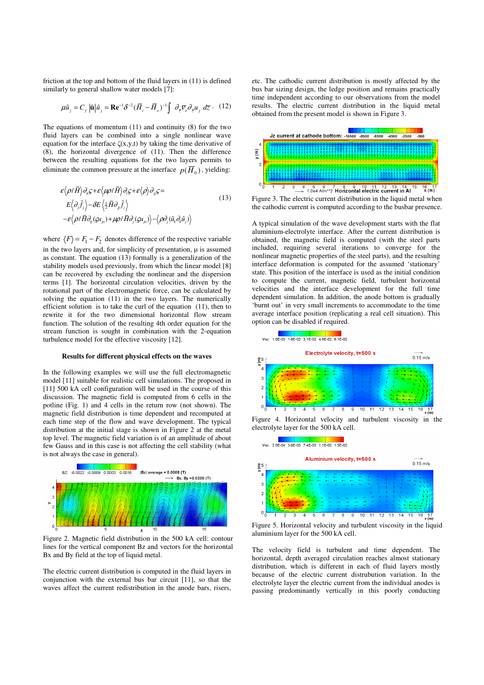friction at the top and bottom of the fluid layers in (11) is defined similarly to general shallow water models [7]:

$$
\mu \hat{u}_j = C_f |\hat{\mathbf{u}}| \hat{u}_j = \mathbf{R} \mathbf{e}^{-1} \delta^{-2} (\overline{H}_i - \overline{H}_o)^{-1} \int \partial_{\overline{z}} \overline{v}_e \partial_{\overline{z}} u_j \ d\overline{z} \cdot (12)
$$

The equations of momentum (11) and continuity (8) for the two fluid layers can be combined into a single nonlinear wave equation for the interface  $\zeta(x,y,t)$  by taking the time derivative of (8), the horizontal divergence of (11). Then the difference between the resulting equations for the two layers permits to eliminate the common pressure at the interface  $p(\overline{H}_0)$ , yielding:

$$
\varepsilon \langle \rho / \overline{H} \rangle \partial_{\overline{u}} \varsigma + \varepsilon \langle \mu \rho / \overline{H} \rangle \partial_{\overline{v}} \varsigma + \varepsilon \langle \rho \rangle \partial_{\overline{u}} \varsigma =
$$
\n
$$
E \langle \partial_{\overline{v}} \hat{f}_j \rangle - \delta E \langle \frac{1}{2} \overline{H} \partial_{\overline{u}} \hat{f}_z \rangle
$$
\n
$$
- \varepsilon \langle \rho / \overline{H} \partial_{\overline{u}} (\varsigma u_{j\rho}) + \mu \rho / \overline{H} \partial_{\overline{v}} (\varsigma u_{j\rho}) \rangle - \langle \rho \partial_{\overline{v}} (\hat{u}_k \partial_k \hat{u}_j) \rangle
$$
\n(13)

where  $\langle F \rangle = F_1 - F_2$  denotes difference of the respective variable in the two layers and, for simplicity of presentation,  $\mu$  is assumed as constant. The equation (13) formally is a generalization of the stability models used previously, from which the linear model [8] can be recovered by excluding the nonlinear and the dispersion terms [1]. The horizontal circulation velocities, driven by the rotational part of the electromagnetic force, can be calculated by solving the equation (11) in the two layers. The numerically efficient solution is to take the curl of the equation (11), then to rewrite it for the two dimensional horizontal flow stream function. The solution of the resulting 4th order equation for the stream function is sought in combination with the 2-equation turbulence model for the effective viscosity [12].

#### **Results for different physical effects on the waves**

In the following examples we will use the full electromagnetic model [11] suitable for realistic cell simulations. The proposed in [11] 500 kA cell configuration will be used in the course of this discussion. The magnetic field is computed from 6 cells in the potline (Fig. 1) and 4 cells in the return row (not shown). The magnetic field distribution is time dependent and recomputed at each time step of the flow and wave development. The typical distribution at the initial stage is shown in Figure 2 at the metal top level. The magnetic field variation is of an amplitude of about few Gauss and in this case is not affecting the cell stability (what is not always the case in general).



Figure 2. Magnetic field distribution in the 500 kA cell: contour lines for the vertical component Bz and vectors for the horizontal Bx and By field at the top of liquid metal.

The electric current distribution is computed in the fluid layers in conjunction with the external bus bar circuit [11], so that the waves affect the current redistribution in the anode bars, risers, etc. The cathodic current distribution is mostly affected by the bus bar sizing design, the ledge position and remains practically time independent according to our observations from the model results. The electric current distribution in the liquid metal obtained from the present model is shown in Figure 3.



Figure 3. The electric current distribution in the liquid metal when the cathodic current is computed according to the busbar presence.

A typical simulation of the wave development starts with the flat aluminium-electrolyte interface. After the current distribution is obtained, the magnetic field is computed (with the steel parts included, requiring several iterations to converge for the nonlinear magnetic properties of the steel parts), and the resulting interface deformation is computed for the assumed 'stationary' state. This position of the interface is used as the initial condition to compute the current, magnetic field, turbulent horizontal velocities and the interface development for the full time dependent simulation. In addition, the anode bottom is gradually 'burnt out' in very small increments to accommodate to the time average interface position (replicating a real cell situation). This option can be disabled if required.



Figure 4. Horizontal velocity and turbulent viscosity in the electrolyte layer for the 500 kA cell.



Figure 5. Horizontal velocity and turbulent viscosity in the liquid aluminium layer for the 500 kA cell.

The velocity field is turbulent and time dependent. The horizontal, depth averaged circulation reaches almost stationary distribution, which is different in each of fluid layers mostly because of the electric current distrubution variation. In the electrolyte layer the electric current from the individual anodes is passing predominantly vertically in this poorly conducting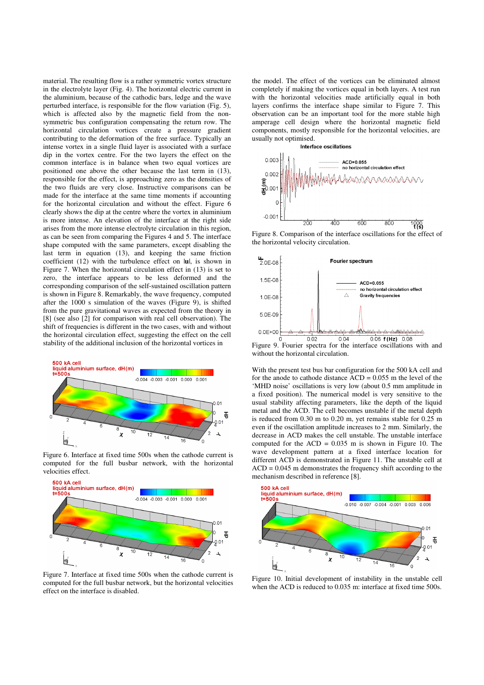material. The resulting flow is a rather symmetric vortex structure in the electrolyte layer (Fig. 4). The horizontal electric current in the aluminium, because of the cathodic bars, ledge and the wave perturbed interface, is responsible for the flow variation (Fig. 5), which is affected also by the magnetic field from the nonsymmetric bus configuration compensating the return row. The horizontal circulation vortices create a pressure gradient contributing to the deformation of the free surface. Typically an intense vortex in a single fluid layer is associated with a surface dip in the vortex centre. For the two layers the effect on the common interface is in balance when two equal vortices are positioned one above the other because the last term in (13), responsible for the effect, is approaching zero as the densities of the two fluids are very close. Instructive comparisons can be made for the interface at the same time moments if accounting for the horizontal circulation and without the effect. Figure 6 clearly shows the dip at the centre where the vortex in aluminium is more intense. An elevation of the interface at the right side arises from the more intense electrolyte circulation in this region, as can be seen from comparing the Figures 4 and 5. The interface shape computed with the same parameters, except disabling the last term in equation (13), and keeping the same friction coefficient (12) with the turbulence effect on |**u**|, is shown in Figure 7. When the horizontal circulation effect in (13) is set to zero, the interface appears to be less deformed and the corresponding comparison of the self-sustained oscillation pattern is shown in Figure 8. Remarkably, the wave frequency, computed after the 1000 s simulation of the waves (Figure 9), is shifted from the pure gravitational waves as expected from the theory in [8] (see also [2] for comparison with real cell observation). The shift of frequencies is different in the two cases, with and without the horizontal circulation effect, suggesting the effect on the cell stability of the additional inclusion of the horizontal vortices in



Figure 6. Interface at fixed time 500s when the cathode current is computed for the full busbar network, with the horizontal velocities effect.



Figure 7. Interface at fixed time 500s when the cathode current is computed for the full busbar network, but the horizontal velocities effect on the interface is disabled.

the model. The effect of the vortices can be eliminated almost completely if making the vortices equal in both layers. A test run with the horizontal velocities made artificially equal in both layers confirms the interface shape similar to Figure 7. This observation can be an important tool for the more stable high amperage cell design where the horizontal magnetic field components, mostly responsible for the horizontal velocities, are usually not optimised.<br>Interface oscillations



Figure 8. Comparison of the interface oscillations for the effect of the horizontal velocity circulation.



Figure 9. Fourier spectra for the interface oscillations with and without the horizontal circulation.

With the present test bus bar configuration for the 500 kA cell and for the anode to cathode distance ACD = 0.055 m the level of the 'MHD noise' oscillations is very low (about 0.5 mm amplitude in a fixed position). The numerical model is very sensitive to the usual stability affecting parameters, like the depth of the liquid metal and the ACD. The cell becomes unstable if the metal depth is reduced from 0.30 m to 0.20 m, yet remains stable for 0.25 m even if the oscillation amplitude increases to 2 mm. Similarly, the decrease in ACD makes the cell unstable. The unstable interface computed for the  $ACD = 0.035$  m is shown in Figure 10. The wave development pattern at a fixed interface location for different ACD is demonstrated in Figure 11. The unstable cell at  $ACD = 0.045$  m demonstrates the frequency shift according to the mechanism described in reference [8].



Figure 10. Initial development of instability in the unstable cell when the ACD is reduced to 0.035 m: interface at fixed time 500s.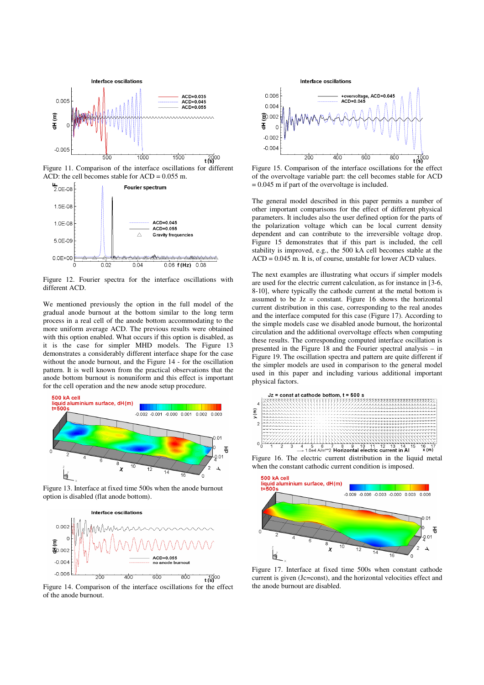

Figure 11. Comparison of the interface oscillations for different ACD: the cell becomes stable for  $ACD = 0.055$  m.



Figure 12. Fourier spectra for the interface oscillations with different ACD.

We mentioned previously the option in the full model of the gradual anode burnout at the bottom similar to the long term process in a real cell of the anode bottom accommodating to the more uniform average ACD. The previous results were obtained with this option enabled. What occurs if this option is disabled, as it is the case for simpler MHD models. The Figure 13 demonstrates a considerably different interface shape for the case without the anode burnout, and the Figure 14 - for the oscillation pattern. It is well known from the practical observations that the anode bottom burnout is nonuniform and this effect is important for the cell operation and the new anode setup procedure.



Figure 13. Interface at fixed time 500s when the anode burnout option is disabled (flat anode bottom).



Figure 14. Comparison of the interface oscillations for the effect of the anode burnout.



Figure 15. Comparison of the interface oscillations for the effect of the overvoltage variable part: the cell becomes stable for ACD  $= 0.045$  m if part of the overvoltage is included.

The general model described in this paper permits a number of other important comparisons for the effect of different physical parameters. It includes also the user defined option for the parts of the polarization voltage which can be local current density dependent and can contribute to the irreversible voltage drop. Figure 15 demonstrates that if this part is included, the cell stability is improved, e.g., the 500 kA cell becomes stable at the ACD = 0.045 m. It is, of course, unstable for lower ACD values.

The next examples are illustrating what occurs if simpler models are used for the electric current calculation, as for instance in [3-6, 8-10], where typically the cathode current at the metal bottom is assumed to be  $Jz = constant$ . Figure 16 shows the horizontal current distribution in this case, corresponding to the real anodes and the interface computed for this case (Figure 17). According to the simple models case we disabled anode burnout, the horizontal circulation and the additional overvoltage effects when computing these results. The corresponding computed interface oscillation is presented in the Figure 18 and the Fourier spectral analysis – in Figure 19. The oscillation spectra and pattern are quite different if the simpler models are used in comparison to the general model used in this paper and including various additional important physical factors.



Figure 16. The electric current distribution in the liquid metal when the constant cathodic current condition is imposed.



Figure 17. Interface at fixed time 500s when constant cathode current is given (Jc=const), and the horizontal velocities effect and the anode burnout are disabled.